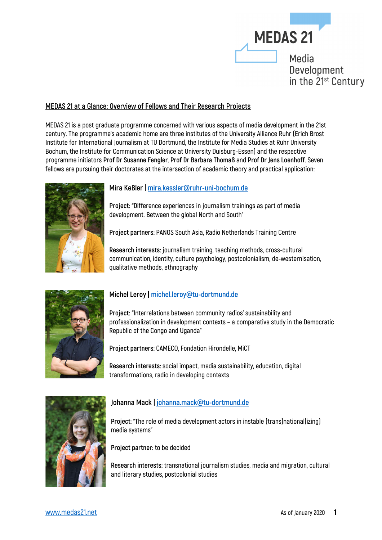

#### **MEDAS 21 at a Glance: Overview of Fellows and Their Research Projects**

**MEDAS 21 is a post graduate programme concerned with various aspects of media development in the 21st century. The programme's academic home are three institutes of the University Alliance Ruhr (Erich Brost Institute for International Journalism at TU Dortmund, the Institute for Media Studies at Ruhr University Bochum, the Institute for Communication Science at University Duisburg-Essen) and the respective programme initiators Prof Dr Susanne Fengler, Prof Dr Barbara Thomaß and Prof Dr Jens Loenhoff. Seven fellows are pursuing their doctorates at the intersection of academic theory and practical application:** 



## **Mira Keßler | mira.kessler@ruhr-uni-bochum.de**

**Project: "Difference experiences in journalism trainings as part of media development. Between the global North and South"**

**Project partners: PANOS South Asia, Radio Netherlands Training Centre**

**Research interests: journalism training, teaching methods, cross-cultural communication, identity, culture psychology, postcolonialism, de-westernisation, qualitative methods, ethnography**



# **Michel Leroy | michel.leroy@tu-dortmund.de**

**Project: "Interrelations between community radios' sustainability and professionalization in development contexts – a comparative study in the Democratic Republic of the Congo and Uganda"**

**Project partners: CAMECO, Fondation Hirondelle, MiCT**

**Research interests: social impact, media sustainability, education, digital transformations, radio in developing contexts**



## **Johanna Mack | johanna.mack@tu-dortmund.de**

**Project: "The role of media development actors in instable (trans)national(izing) media systems"**

**Project partner: to be decided**

**Research interests: transnational journalism studies, media and migration, cultural and literary studies, postcolonial studies**